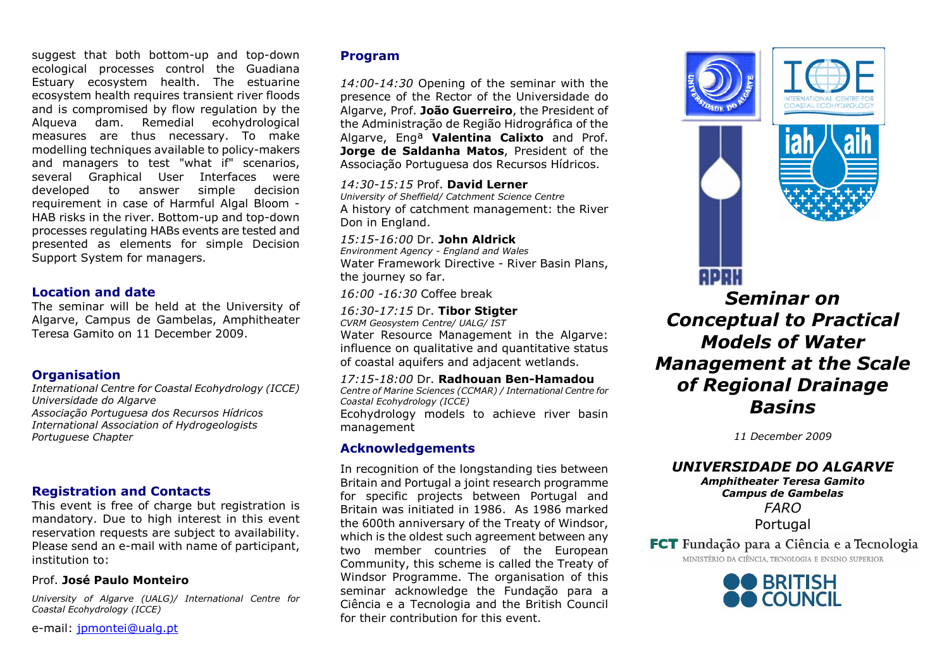suggest that both bottom-up and top-down ecological processes control the Guadiana Estuary ecosystem health. The estuarine ecosystem health requires transient river floods and is compromised by flow regulation by the Alqueva dam. Remedial ecohydrological measures are thus necessary. To make modelling techniques available to policy-makers and managers to test "what if" scenarios, several Graphical User Interfaces were developed to answer simple decision requirement in case of Harmful Algal Bloom - HAB risks in the river. Bottom-up and top-down processes regulating HABs events are tested and presented as elements for simple Decision Support System for managers.

### Location and date

 The seminar will be held at the University of Algarve, Campus de Gambelas, Amphitheater Teresa Gamito on 11 December 2009.

# **Organisation**

 International Centre for Coastal Ecohydrology (ICCE) Universidade do Algarve Associação Portuguesa dos Recursos Hídricos International Association of Hydrogeologists Portuguese Chapter

### Registration and Contacts

 This event is free of charge but registration is mandatory. Due to high interest in this event reservation requests are subject to availability. Please send an e-mail with name of participant, institution to:

### Prof. José Paulo Monteiro

University of Algarve (UALG)/ International Centre for Coastal Ecohydrology (ICCE)

e-mail: jpmontei@ualg.pt

## Program

14:00-14:30 Opening of the seminar with the presence of the Rector of the Universidade do Algarve, Prof. João Guerreiro, the President of the Administração de Região Hidrográfica of the Algarve, Eng<sup>a</sup> Valentina Calixto and Prof. Jorge de Saldanha Matos, President of the Associação Portuguesa dos Recursos Hídricos.

### 14:30-15:15 Prof. David Lerner

 University of Sheffield/ Catchment Science Centre A history of catchment management: the River Don in England.

### 15:15-16:00 Dr. John Aldrick

 Environment Agency - England and Wales Water Framework Directive - River Basin Plans, the journey so far.

16:00 -16:30 Coffee break

# 16:30-17:15 Dr. **Tibor Stigter**<br>Clim Constructor Cathy (IMC) IST

CVRM Geosystem Centre/ UALG/ IST

 Water Resource Management in the Algarve: influence on qualitative and quantitative status of coastal aquifers and adjacent wetlands.

### 17:15-18:00 Dr. Radhouan Ben-Hamadou

 Centre of Marine Sciences (CCMAR) / International Centre for Coastal Ecohydrology (ICCE)Ecohydrology models to achieve river basin

management

### Acknowledgements

In recognition of the longstanding ties between Britain and Portugal a joint research programme for specific projects between Portugal and Britain was initiated in 1986. As 1986 marked the 600th anniversary of the Treaty of Windsor, which is the oldest such agreement between any two member countries of the European Community, this scheme is called the Treaty of Windsor Programme. The organisation of this seminar acknowledge the Fundação para a Ciência e a Tecnologia and the British Council for their contribution for this event.



ADAN



# Seminar on Conceptual to Practical Models of Water Management at the Scale of Regional Drainage Basins

11 December 2009

# UNIVERSIDADE DO ALGARVE

Amphitheater Teresa Gamito Campus de Gambelas FARO Portugal

FCT Fundação para a Ciência e a Tecnologia MINISTÉRIO DA CIÊNCIA TECNOLOGIA E ENSINO SUPERIOR